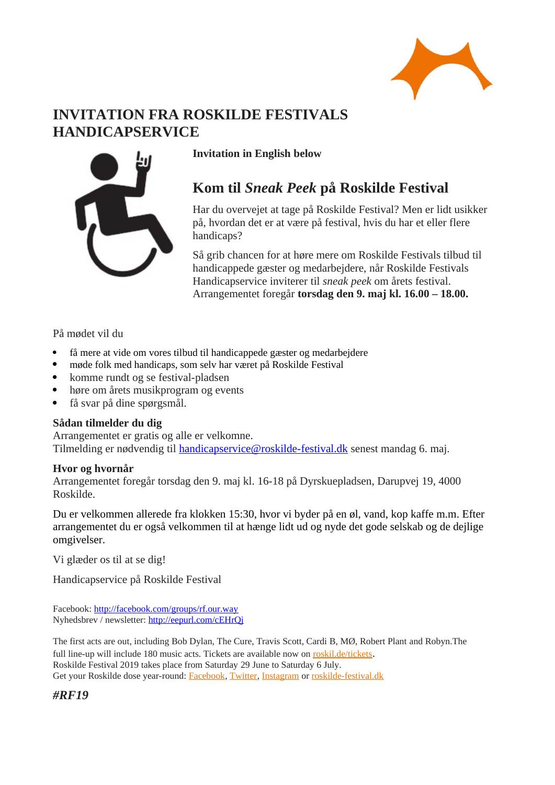

# **INVITATION FRA ROSKILDE FESTIVALS HANDICAPSERVICE**



## **Invitation in English below**

# **Kom til** *Sneak Peek* **på Roskilde Festival**

Har du overvejet at tage på Roskilde Festival? Men er lidt usikker på, hvordan det er at være på festival, hvis du har et eller flere handicaps?

Så grib chancen for at høre mere om Roskilde Festivals tilbud til handicappede gæster og medarbejdere, når Roskilde Festivals Handicapservice inviterer til *sneak peek* om årets festival. Arrangementet foregår **torsdag den 9. maj kl. 16.00 – 18.00.**

På mødet vil du

- få mere at vide om vores tilbud til handicappede gæster og medarbejdere
- møde folk med handicaps, som selv har været på Roskilde Festival
- komme rundt og se festival-pladsen
- høre om årets musikprogram og events
- få svar på dine spørgsmål.

## **Sådan tilmelder du dig**

Arrangementet er gratis og alle er velkomne. Tilmelding er nødvendig til **handicapservice@roskilde-festival.dk** senest mandag 6. maj.

## **Hvor og hvornår**

Arrangementet foregår torsdag den 9. maj kl. 16-18 på Dyrskuepladsen, Darupvej 19, 4000 Roskilde.

Du er velkommen allerede fra klokken 15:30, hvor vi byder på en øl, vand, kop kaffe m.m. Efter arrangementet du er også velkommen til at hænge lidt ud og nyde det gode selskab og de dejlige omgivelser.

Vi glæder os til at se dig!

Handicapservice på Roskilde Festival

Facebook: <http://facebook.com/groups/rf.our.way> Nyhedsbrev / newsletter:<http://eepurl.com/cEHrQj>

The first acts are out, including Bob Dylan, The Cure, Travis Scott, Cardi B, MØ, Robert Plant and Robyn.The full line-up will include 180 music acts. Tickets are available now on [roskil.de/tickets](http://roskil.de/tickets). Roskilde Festival 2019 takes place from Saturday 29 June to Saturday 6 July. Get your Roskilde dose year-round: [Facebook](http://www.facebook.com/orangefeeling/t_blank), [Twitter](https://twitter.com/search/realtime?q=%23rf19&src=typd/t_blank), [Instagram](http://instagram.com/roskildefestival) or [roskilde-festival.dk](http://www.roskilde-festival.dk/t_blank)

*#RF19*